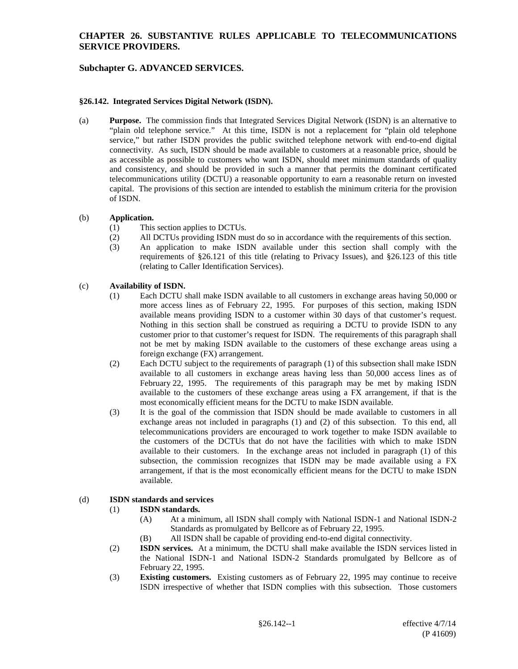# **Subchapter G. ADVANCED SERVICES.**

# **§26.142. Integrated Services Digital Network (ISDN).**

(a) **Purpose.** The commission finds that Integrated Services Digital Network (ISDN) is an alternative to "plain old telephone service." At this time, ISDN is not a replacement for "plain old telephone service," but rather ISDN provides the public switched telephone network with end-to-end digital connectivity. As such, ISDN should be made available to customers at a reasonable price, should be as accessible as possible to customers who want ISDN, should meet minimum standards of quality and consistency, and should be provided in such a manner that permits the dominant certificated telecommunications utility (DCTU) a reasonable opportunity to earn a reasonable return on invested capital. The provisions of this section are intended to establish the minimum criteria for the provision of ISDN.

# (b) **Application.**

- (1) This section applies to DCTUs.
- (2) All DCTUs providing ISDN must do so in accordance with the requirements of this section.
- (3) An application to make ISDN available under this section shall comply with the requirements of §26.121 of this title (relating to Privacy Issues), and §26.123 of this title (relating to Caller Identification Services).

# (c) **Availability of ISDN.**

- (1) Each DCTU shall make ISDN available to all customers in exchange areas having 50,000 or more access lines as of February 22, 1995. For purposes of this section, making ISDN available means providing ISDN to a customer within 30 days of that customer's request. Nothing in this section shall be construed as requiring a DCTU to provide ISDN to any customer prior to that customer's request for ISDN. The requirements of this paragraph shall not be met by making ISDN available to the customers of these exchange areas using a foreign exchange (FX) arrangement.
- (2) Each DCTU subject to the requirements of paragraph (1) of this subsection shall make ISDN available to all customers in exchange areas having less than 50,000 access lines as of February 22, 1995. The requirements of this paragraph may be met by making ISDN available to the customers of these exchange areas using a FX arrangement, if that is the most economically efficient means for the DCTU to make ISDN available.
- (3) It is the goal of the commission that ISDN should be made available to customers in all exchange areas not included in paragraphs (1) and (2) of this subsection. To this end, all telecommunications providers are encouraged to work together to make ISDN available to the customers of the DCTUs that do not have the facilities with which to make ISDN available to their customers. In the exchange areas not included in paragraph (1) of this subsection, the commission recognizes that ISDN may be made available using a FX arrangement, if that is the most economically efficient means for the DCTU to make ISDN available.

#### (d) **ISDN standards and services**

#### (1) **ISDN standards.**

- (A) At a minimum, all ISDN shall comply with National ISDN-1 and National ISDN-2 Standards as promulgated by Bellcore as of February 22, 1995.
- (B) All ISDN shall be capable of providing end-to-end digital connectivity.
- (2) **ISDN services.** At a minimum, the DCTU shall make available the ISDN services listed in the National ISDN-1 and National ISDN-2 Standards promulgated by Bellcore as of February 22, 1995.
- (3) **Existing customers.** Existing customers as of February 22, 1995 may continue to receive ISDN irrespective of whether that ISDN complies with this subsection. Those customers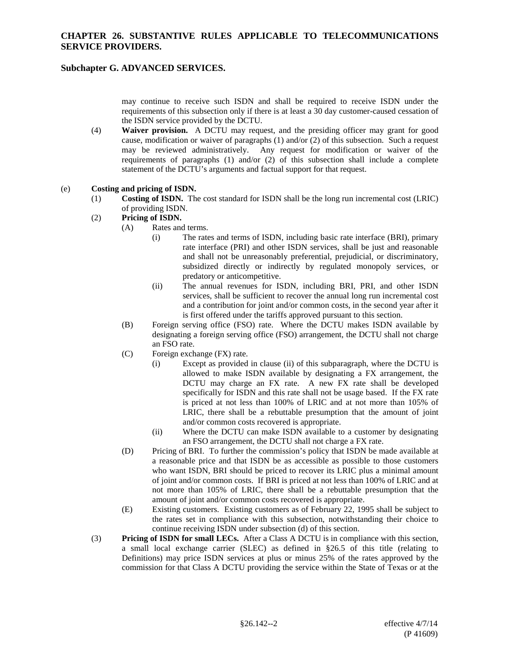# **Subchapter G. ADVANCED SERVICES.**

may continue to receive such ISDN and shall be required to receive ISDN under the requirements of this subsection only if there is at least a 30 day customer-caused cessation of the ISDN service provided by the DCTU.

(4) **Waiver provision.** A DCTU may request, and the presiding officer may grant for good cause, modification or waiver of paragraphs (1) and/or (2) of this subsection. Such a request may be reviewed administratively. Any request for modification or waiver of the requirements of paragraphs (1) and/or (2) of this subsection shall include a complete statement of the DCTU's arguments and factual support for that request.

#### (e) **Costing and pricing of ISDN.**

- (1) **Costing of ISDN.** The cost standard for ISDN shall be the long run incremental cost (LRIC) of providing ISDN.
- (2) **Pricing of ISDN.**
	- (A) Rates and terms.
		- (i) The rates and terms of ISDN, including basic rate interface (BRI), primary rate interface (PRI) and other ISDN services, shall be just and reasonable and shall not be unreasonably preferential, prejudicial, or discriminatory, subsidized directly or indirectly by regulated monopoly services, or predatory or anticompetitive.
		- (ii) The annual revenues for ISDN, including BRI, PRI, and other ISDN services, shall be sufficient to recover the annual long run incremental cost and a contribution for joint and/or common costs, in the second year after it is first offered under the tariffs approved pursuant to this section.
	- (B) Foreign serving office (FSO) rate. Where the DCTU makes ISDN available by designating a foreign serving office (FSO) arrangement, the DCTU shall not charge an FSO rate.
	- (C) Foreign exchange (FX) rate.
		- (i) Except as provided in clause (ii) of this subparagraph, where the DCTU is allowed to make ISDN available by designating a FX arrangement, the DCTU may charge an FX rate. A new FX rate shall be developed specifically for ISDN and this rate shall not be usage based. If the FX rate is priced at not less than 100% of LRIC and at not more than 105% of LRIC, there shall be a rebuttable presumption that the amount of joint and/or common costs recovered is appropriate.
		- (ii) Where the DCTU can make ISDN available to a customer by designating an FSO arrangement, the DCTU shall not charge a FX rate.
	- (D) Pricing of BRI. To further the commission's policy that ISDN be made available at a reasonable price and that ISDN be as accessible as possible to those customers who want ISDN, BRI should be priced to recover its LRIC plus a minimal amount of joint and/or common costs. If BRI is priced at not less than 100% of LRIC and at not more than 105% of LRIC, there shall be a rebuttable presumption that the amount of joint and/or common costs recovered is appropriate.
	- (E) Existing customers. Existing customers as of February 22, 1995 shall be subject to the rates set in compliance with this subsection, notwithstanding their choice to continue receiving ISDN under subsection (d) of this section.
- (3) **Pricing of ISDN for small LECs.** After a Class A DCTU is in compliance with this section, a small local exchange carrier (SLEC) as defined in §26.5 of this title (relating to Definitions) may price ISDN services at plus or minus 25% of the rates approved by the commission for that Class A DCTU providing the service within the State of Texas or at the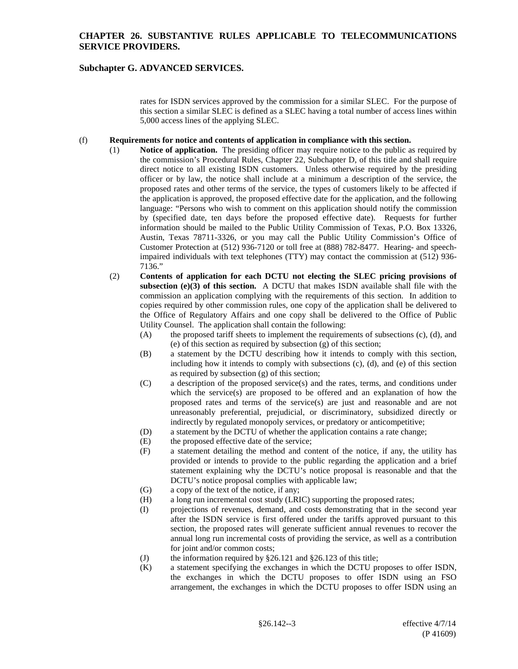# **Subchapter G. ADVANCED SERVICES.**

rates for ISDN services approved by the commission for a similar SLEC. For the purpose of this section a similar SLEC is defined as a SLEC having a total number of access lines within 5,000 access lines of the applying SLEC.

#### (f) **Requirements for notice and contents of application in compliance with this section.**

- (1) **Notice of application.** The presiding officer may require notice to the public as required by the commission's Procedural Rules, Chapter 22, Subchapter D, of this title and shall require direct notice to all existing ISDN customers. Unless otherwise required by the presiding officer or by law, the notice shall include at a minimum a description of the service, the proposed rates and other terms of the service, the types of customers likely to be affected if the application is approved, the proposed effective date for the application, and the following language: "Persons who wish to comment on this application should notify the commission by (specified date, ten days before the proposed effective date). Requests for further information should be mailed to the Public Utility Commission of Texas, P.O. Box 13326, Austin, Texas 78711-3326, or you may call the Public Utility Commission's Office of Customer Protection at (512) 936-7120 or toll free at (888) 782-8477. Hearing- and speechimpaired individuals with text telephones (TTY) may contact the commission at (512) 936- 7136."
- (2) **Contents of application for each DCTU not electing the SLEC pricing provisions of subsection (e)(3) of this section.** A DCTU that makes ISDN available shall file with the commission an application complying with the requirements of this section. In addition to copies required by other commission rules, one copy of the application shall be delivered to the Office of Regulatory Affairs and one copy shall be delivered to the Office of Public Utility Counsel. The application shall contain the following:
	- $(A)$  the proposed tariff sheets to implement the requirements of subsections  $(c)$ ,  $(d)$ , and (e) of this section as required by subsection (g) of this section;
	- (B) a statement by the DCTU describing how it intends to comply with this section, including how it intends to comply with subsections (c), (d), and (e) of this section as required by subsection (g) of this section;
	- (C) a description of the proposed service(s) and the rates, terms, and conditions under which the service(s) are proposed to be offered and an explanation of how the proposed rates and terms of the service(s) are just and reasonable and are not unreasonably preferential, prejudicial, or discriminatory, subsidized directly or indirectly by regulated monopoly services, or predatory or anticompetitive;
	- (D) a statement by the DCTU of whether the application contains a rate change;
	- (E) the proposed effective date of the service;
	- (F) a statement detailing the method and content of the notice, if any, the utility has provided or intends to provide to the public regarding the application and a brief statement explaining why the DCTU's notice proposal is reasonable and that the DCTU's notice proposal complies with applicable law;
	- (G) a copy of the text of the notice, if any;
	- (H) a long run incremental cost study (LRIC) supporting the proposed rates;
	- (I) projections of revenues, demand, and costs demonstrating that in the second year after the ISDN service is first offered under the tariffs approved pursuant to this section, the proposed rates will generate sufficient annual revenues to recover the annual long run incremental costs of providing the service, as well as a contribution for joint and/or common costs;
	- (J) the information required by  $\S 26.121$  and  $\S 26.123$  of this title;<br>(K) a statement specifying the exchanges in which the DCTU pr
	- a statement specifying the exchanges in which the DCTU proposes to offer ISDN, the exchanges in which the DCTU proposes to offer ISDN using an FSO arrangement, the exchanges in which the DCTU proposes to offer ISDN using an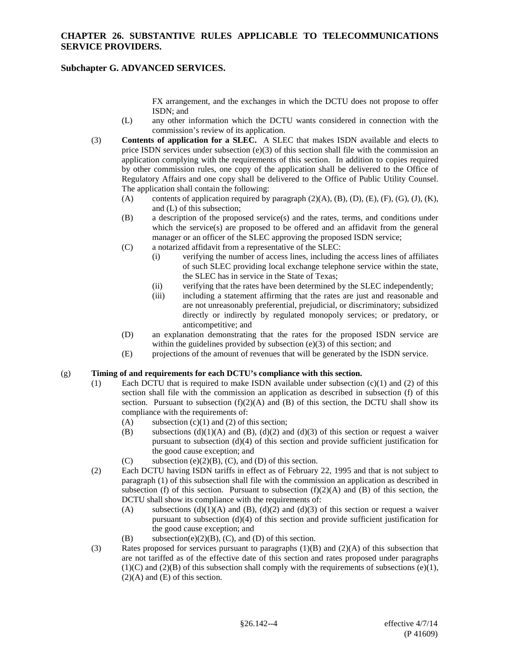# **Subchapter G. ADVANCED SERVICES.**

FX arrangement, and the exchanges in which the DCTU does not propose to offer ISDN; and

- (L) any other information which the DCTU wants considered in connection with the commission's review of its application.
- (3) **Contents of application for a SLEC.** A SLEC that makes ISDN available and elects to price ISDN services under subsection  $(e)(3)$  of this section shall file with the commission an application complying with the requirements of this section. In addition to copies required by other commission rules, one copy of the application shall be delivered to the Office of Regulatory Affairs and one copy shall be delivered to the Office of Public Utility Counsel. The application shall contain the following:
	- (A) contents of application required by paragraph  $(2)(A)$ ,  $(B)$ ,  $(D)$ ,  $(E)$ ,  $(F)$ ,  $(G)$ ,  $(J)$ ,  $(K)$ , and (L) of this subsection;
	- (B) a description of the proposed service(s) and the rates, terms, and conditions under which the service(s) are proposed to be offered and an affidavit from the general manager or an officer of the SLEC approving the proposed ISDN service;
	- (C) a notarized affidavit from a representative of the SLEC:
		- (i) verifying the number of access lines, including the access lines of affiliates of such SLEC providing local exchange telephone service within the state, the SLEC has in service in the State of Texas;
		- (ii) verifying that the rates have been determined by the SLEC independently;
		- (iii) including a statement affirming that the rates are just and reasonable and are not unreasonably preferential, prejudicial, or discriminatory; subsidized directly or indirectly by regulated monopoly services; or predatory, or anticompetitive; and
	- (D) an explanation demonstrating that the rates for the proposed ISDN service are within the guidelines provided by subsection (e)(3) of this section; and
	- (E) projections of the amount of revenues that will be generated by the ISDN service.

#### (g) **Timing of and requirements for each DCTU's compliance with this section.**

- (1) Each DCTU that is required to make ISDN available under subsection  $(c)(1)$  and (2) of this section shall file with the commission an application as described in subsection (f) of this section. Pursuant to subsection  $(f)(2)(A)$  and  $(B)$  of this section, the DCTU shall show its compliance with the requirements of:
	- (A) subsection  $(c)(1)$  and  $(2)$  of this section;
	- (B) subsections  $(d)(1)(A)$  and  $(B)$ ,  $(d)(2)$  and  $(d)(3)$  of this section or request a waiver pursuant to subsection (d)(4) of this section and provide sufficient justification for the good cause exception; and
	- (C) subsection (e)(2)(B), (C), and (D) of this section.
- (2) Each DCTU having ISDN tariffs in effect as of February 22, 1995 and that is not subject to paragraph (1) of this subsection shall file with the commission an application as described in subsection (f) of this section. Pursuant to subsection  $(f)(2)(A)$  and  $(B)$  of this section, the DCTU shall show its compliance with the requirements of:
	- (A) subsections  $(d)(1)(A)$  and  $(B)$ ,  $(d)(2)$  and  $(d)(3)$  of this section or request a waiver pursuant to subsection (d)(4) of this section and provide sufficient justification for the good cause exception; and
	- (B) subsection(e)(2)(B), (C), and (D) of this section.
- (3) Rates proposed for services pursuant to paragraphs  $(1)(B)$  and  $(2)(A)$  of this subsection that are not tariffed as of the effective date of this section and rates proposed under paragraphs  $(1)(C)$  and  $(2)(B)$  of this subsection shall comply with the requirements of subsections (e)(1), (2)(A) and (E) of this section.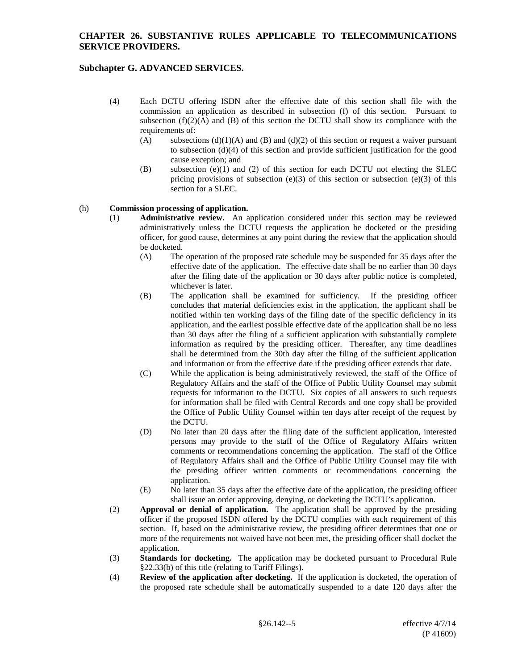# **Subchapter G. ADVANCED SERVICES.**

- (4) Each DCTU offering ISDN after the effective date of this section shall file with the commission an application as described in subsection (f) of this section. Pursuant to subsection  $(f)(2)(A)$  and  $(B)$  of this section the DCTU shall show its compliance with the requirements of:
	- (A) subsections  $(d)(1)(A)$  and  $(B)$  and  $(d)(2)$  of this section or request a waiver pursuant to subsection (d)(4) of this section and provide sufficient justification for the good cause exception; and
	- $(B)$  subsection  $(e)(1)$  and  $(2)$  of this section for each DCTU not electing the SLEC pricing provisions of subsection (e)(3) of this section or subsection (e)(3) of this section for a SLEC.

# (h) **Commission processing of application.**

- (1) **Administrative review.** An application considered under this section may be reviewed administratively unless the DCTU requests the application be docketed or the presiding officer, for good cause, determines at any point during the review that the application should be docketed.
	- (A) The operation of the proposed rate schedule may be suspended for 35 days after the effective date of the application. The effective date shall be no earlier than 30 days after the filing date of the application or 30 days after public notice is completed, whichever is later.
	- (B) The application shall be examined for sufficiency. If the presiding officer concludes that material deficiencies exist in the application, the applicant shall be notified within ten working days of the filing date of the specific deficiency in its application, and the earliest possible effective date of the application shall be no less than 30 days after the filing of a sufficient application with substantially complete information as required by the presiding officer. Thereafter, any time deadlines shall be determined from the 30th day after the filing of the sufficient application and information or from the effective date if the presiding officer extends that date.
	- (C) While the application is being administratively reviewed, the staff of the Office of Regulatory Affairs and the staff of the Office of Public Utility Counsel may submit requests for information to the DCTU. Six copies of all answers to such requests for information shall be filed with Central Records and one copy shall be provided the Office of Public Utility Counsel within ten days after receipt of the request by the DCTU.
	- (D) No later than 20 days after the filing date of the sufficient application, interested persons may provide to the staff of the Office of Regulatory Affairs written comments or recommendations concerning the application. The staff of the Office of Regulatory Affairs shall and the Office of Public Utility Counsel may file with the presiding officer written comments or recommendations concerning the application.
	- (E) No later than 35 days after the effective date of the application, the presiding officer shall issue an order approving, denying, or docketing the DCTU's application.
- (2) **Approval or denial of application.** The application shall be approved by the presiding officer if the proposed ISDN offered by the DCTU complies with each requirement of this section. If, based on the administrative review, the presiding officer determines that one or more of the requirements not waived have not been met, the presiding officer shall docket the application.
- (3) **Standards for docketing.** The application may be docketed pursuant to Procedural Rule §22.33(b) of this title (relating to Tariff Filings).
- (4) **Review of the application after docketing.** If the application is docketed, the operation of the proposed rate schedule shall be automatically suspended to a date 120 days after the